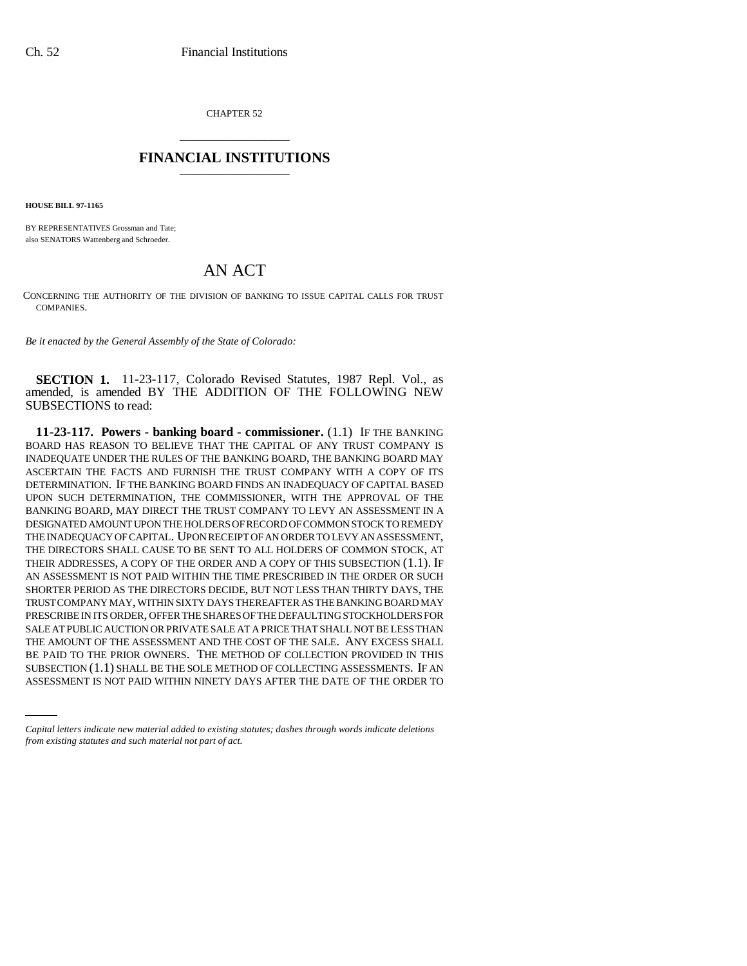CHAPTER 52 \_\_\_\_\_\_\_\_\_\_\_\_\_\_\_

## **FINANCIAL INSTITUTIONS** \_\_\_\_\_\_\_\_\_\_\_\_\_\_\_

**HOUSE BILL 97-1165**

BY REPRESENTATIVES Grossman and Tate; also SENATORS Wattenberg and Schroeder.

## AN ACT

CONCERNING THE AUTHORITY OF THE DIVISION OF BANKING TO ISSUE CAPITAL CALLS FOR TRUST COMPANIES.

*Be it enacted by the General Assembly of the State of Colorado:*

**SECTION 1.** 11-23-117, Colorado Revised Statutes, 1987 Repl. Vol., as amended, is amended BY THE ADDITION OF THE FOLLOWING NEW SUBSECTIONS to read:

BE PAID TO THE PRIOR OWNERS. THE METHOD OF COLLECTION PROVIDED IN THIS **11-23-117. Powers - banking board - commissioner.** (1.1) IF THE BANKING BOARD HAS REASON TO BELIEVE THAT THE CAPITAL OF ANY TRUST COMPANY IS INADEQUATE UNDER THE RULES OF THE BANKING BOARD, THE BANKING BOARD MAY ASCERTAIN THE FACTS AND FURNISH THE TRUST COMPANY WITH A COPY OF ITS DETERMINATION. IF THE BANKING BOARD FINDS AN INADEQUACY OF CAPITAL BASED UPON SUCH DETERMINATION, THE COMMISSIONER, WITH THE APPROVAL OF THE BANKING BOARD, MAY DIRECT THE TRUST COMPANY TO LEVY AN ASSESSMENT IN A DESIGNATED AMOUNT UPON THE HOLDERS OF RECORD OF COMMON STOCK TO REMEDY THE INADEQUACY OF CAPITAL. UPON RECEIPT OF AN ORDER TO LEVY AN ASSESSMENT, THE DIRECTORS SHALL CAUSE TO BE SENT TO ALL HOLDERS OF COMMON STOCK, AT THEIR ADDRESSES, A COPY OF THE ORDER AND A COPY OF THIS SUBSECTION (1.1). IF AN ASSESSMENT IS NOT PAID WITHIN THE TIME PRESCRIBED IN THE ORDER OR SUCH SHORTER PERIOD AS THE DIRECTORS DECIDE, BUT NOT LESS THAN THIRTY DAYS, THE TRUST COMPANY MAY, WITHIN SIXTY DAYS THEREAFTER AS THE BANKING BOARD MAY PRESCRIBE IN ITS ORDER, OFFER THE SHARES OF THE DEFAULTING STOCKHOLDERS FOR SALE AT PUBLIC AUCTION OR PRIVATE SALE AT A PRICE THAT SHALL NOT BE LESS THAN THE AMOUNT OF THE ASSESSMENT AND THE COST OF THE SALE. ANY EXCESS SHALL SUBSECTION (1.1) SHALL BE THE SOLE METHOD OF COLLECTING ASSESSMENTS. IF AN ASSESSMENT IS NOT PAID WITHIN NINETY DAYS AFTER THE DATE OF THE ORDER TO

*Capital letters indicate new material added to existing statutes; dashes through words indicate deletions from existing statutes and such material not part of act.*